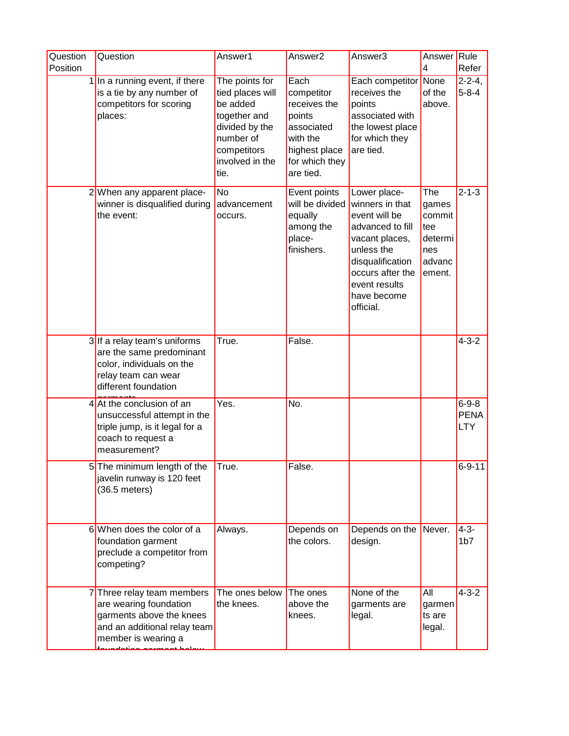| Question<br>Position | Question                                                                                                                               | Answer1                                                                                                                                 | Answer2                                                                                                                | Answer3                                                                                                                                                                                   | Answer Rule<br>4                                                    | Refer                                    |
|----------------------|----------------------------------------------------------------------------------------------------------------------------------------|-----------------------------------------------------------------------------------------------------------------------------------------|------------------------------------------------------------------------------------------------------------------------|-------------------------------------------------------------------------------------------------------------------------------------------------------------------------------------------|---------------------------------------------------------------------|------------------------------------------|
|                      | $1$ In a running event, if there<br>is a tie by any number of<br>competitors for scoring<br>places:                                    | The points for<br>tied places will<br>be added<br>together and<br>divided by the<br>number of<br>competitors<br>involved in the<br>tie. | Each<br>competitor<br>receives the<br>points<br>associated<br>with the<br>highest place<br>for which they<br>are tied. | Each competitor None<br>receives the<br>points<br>associated with<br>the lowest place<br>for which they<br>are tied.                                                                      | of the<br>above.                                                    | $2 - 2 - 4$ ,<br>$5 - 8 - 4$             |
|                      | 2 When any apparent place-<br>winner is disqualified during<br>the event:                                                              | <b>No</b><br>advancement<br>occurs.                                                                                                     | Event points<br>will be divided<br>equally<br>among the<br>place-<br>finishers.                                        | Lower place-<br>winners in that<br>event will be<br>advanced to fill<br>vacant places,<br>unless the<br>disqualification<br>occurs after the<br>event results<br>have become<br>official. | The<br>games<br>commit<br>tee<br>determi<br>nes<br>advanc<br>ement. | $2 - 1 - 3$                              |
|                      | 3 If a relay team's uniforms<br>are the same predominant<br>color, individuals on the<br>relay team can wear<br>different foundation   | True.                                                                                                                                   | False.                                                                                                                 |                                                                                                                                                                                           |                                                                     | $4 - 3 - 2$                              |
|                      | $4$ At the conclusion of an<br>unsuccessful attempt in the<br>triple jump, is it legal for a<br>coach to request a<br>measurement?     | Yes.                                                                                                                                    | No.                                                                                                                    |                                                                                                                                                                                           |                                                                     | $6 - 9 - 8$<br><b>PENA</b><br><b>LTY</b> |
|                      | 5 The minimum length of the<br>javelin runway is 120 feet<br>$(36.5$ meters)                                                           | $\overline{\mathsf{True}}$ .                                                                                                            | False.                                                                                                                 |                                                                                                                                                                                           |                                                                     | $6 - 9 - 11$                             |
|                      | 6 When does the color of a<br>foundation garment<br>preclude a competitor from<br>competing?                                           | Always.                                                                                                                                 | Depends on<br>the colors.                                                                                              | Depends on the Never.<br>design.                                                                                                                                                          |                                                                     | $4 - 3 -$<br>1 <sub>b7</sub>             |
|                      | 7Three relay team members<br>are wearing foundation<br>garments above the knees<br>and an additional relay team<br>member is wearing a | The ones below<br>the knees.                                                                                                            | The ones<br>above the<br>knees.                                                                                        | None of the<br>garments are<br>legal.                                                                                                                                                     | All<br>garmen<br>ts are<br>legal.                                   | $4 - 3 - 2$                              |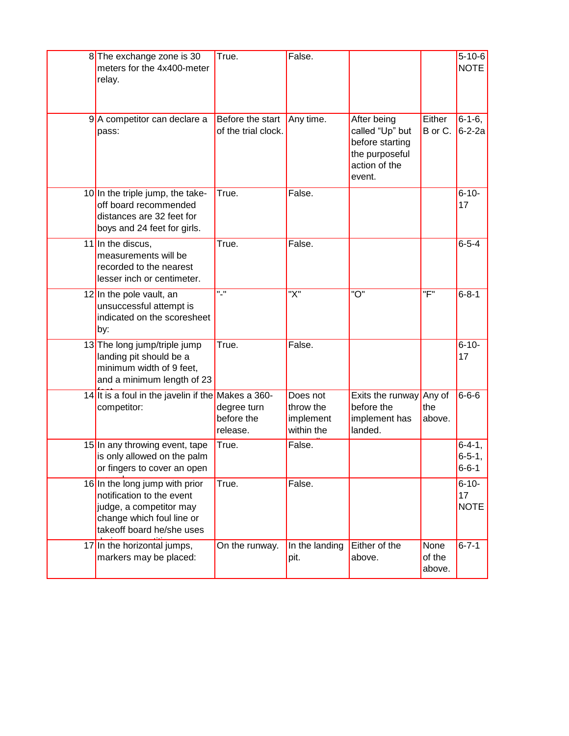| 8 The exchange zone is 30<br>meters for the 4x400-meter<br>relay.                                                                                | True.                                   | False.                                           |                                                                                                |                          | $5 - 10 - 6$<br><b>NOTE</b>              |
|--------------------------------------------------------------------------------------------------------------------------------------------------|-----------------------------------------|--------------------------------------------------|------------------------------------------------------------------------------------------------|--------------------------|------------------------------------------|
| 9A competitor can declare a<br>pass:                                                                                                             | Before the start<br>of the trial clock. | Any time.                                        | After being<br>called "Up" but<br>before starting<br>the purposeful<br>action of the<br>event. | Either<br>B or C.        | $6 - 1 - 6$ ,<br>$6 - 2 - 2a$            |
| 10 In the triple jump, the take-<br>off board recommended<br>distances are 32 feet for<br>boys and 24 feet for girls.                            | True.                                   | False.                                           |                                                                                                |                          | $6 - 10 -$<br>17                         |
| 11 In the discus,<br>measurements will be<br>recorded to the nearest<br>lesser inch or centimeter.                                               | True.                                   | False.                                           |                                                                                                |                          | $6 - 5 - 4$                              |
| 12 In the pole vault, an<br>unsuccessful attempt is<br>indicated on the scoresheet<br>by:                                                        | $^{\prime\prime}$ .                     | $\overline{X}$                                   | "O"                                                                                            | "F"                      | $6 - 8 - 1$                              |
| 13 The long jump/triple jump<br>landing pit should be a<br>minimum width of 9 feet,<br>and a minimum length of 23                                | True.                                   | False.                                           |                                                                                                |                          | $6 - 10 -$<br>17                         |
| 14 It is a foul in the javelin if the Makes a 360-<br>competitor:                                                                                | degree turn<br>before the<br>release.   | Does not<br>throw the<br>implement<br>within the | Exits the runway<br>before the<br>implement has<br>landed.                                     | Any of<br>the<br>above.  | $6 - 6 - 6$                              |
| 15 In any throwing event, tape<br>is only allowed on the palm<br>or fingers to cover an open                                                     | True.                                   | False.                                           |                                                                                                |                          | $6-4-1,$<br>$6 - 5 - 1$ ,<br>$6 - 6 - 1$ |
| 16 In the long jump with prior<br>notification to the event<br>judge, a competitor may<br>change which foul line or<br>takeoff board he/she uses | True.                                   | False.                                           |                                                                                                |                          | $6 - 10 -$<br>17<br><b>NOTE</b>          |
| 17 In the horizontal jumps,<br>markers may be placed:                                                                                            | On the runway.                          | In the landing<br>pit.                           | Either of the<br>above.                                                                        | None<br>of the<br>above. | $6 - 7 - 1$                              |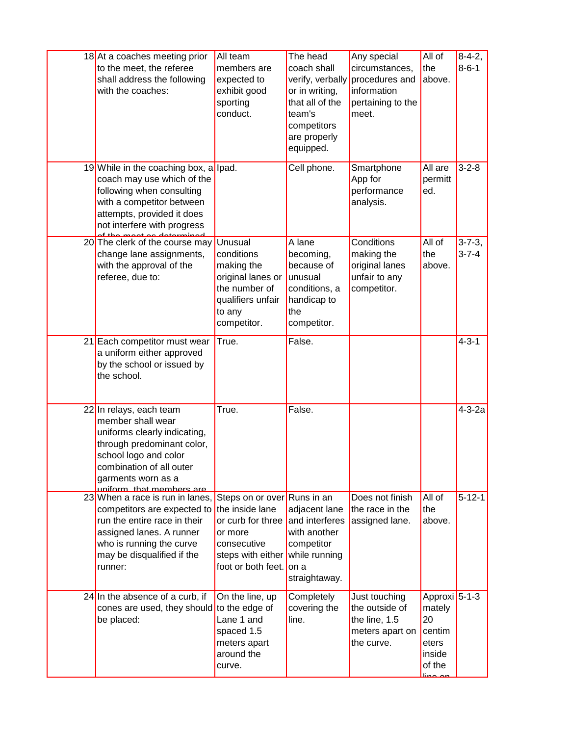| 18 At a coaches meeting prior<br>to the meet, the referee<br>shall address the following<br>with the coaches:                                                                                                     | All team<br>members are<br>expected to<br>exhibit good<br>sporting<br>conduct.                                                                | The head<br>coach shall<br>verify, verbally<br>or in writing,<br>that all of the<br>team's<br>competitors<br>are properly<br>equipped. | Any special<br>circumstances,<br>procedures and<br>information<br>pertaining to the<br>meet. | All of<br>the<br>above.                                                                    | $8-4-2,$<br>$8 - 6 - 1$      |
|-------------------------------------------------------------------------------------------------------------------------------------------------------------------------------------------------------------------|-----------------------------------------------------------------------------------------------------------------------------------------------|----------------------------------------------------------------------------------------------------------------------------------------|----------------------------------------------------------------------------------------------|--------------------------------------------------------------------------------------------|------------------------------|
| 19 While in the coaching box, a lpad.<br>coach may use which of the<br>following when consulting<br>with a competitor between<br>attempts, provided it does<br>not interfere with progress                        |                                                                                                                                               | Cell phone.                                                                                                                            | Smartphone<br>App for<br>performance<br>analysis.                                            | All are<br>permitt<br>ed.                                                                  | $3 - 2 - 8$                  |
| 20 The clerk of the course may<br>change lane assignments,<br>with the approval of the<br>referee, due to:                                                                                                        | Unusual<br>conditions<br>making the<br>original lanes or<br>the number of<br>qualifiers unfair<br>to any<br>competitor.                       | A lane<br>becoming,<br>because of<br>unusual<br>conditions, a<br>handicap to<br>the<br>competitor.                                     | Conditions<br>making the<br>original lanes<br>unfair to any<br>competitor.                   | All of<br>the<br>above.                                                                    | $3 - 7 - 3$ ,<br>$3 - 7 - 4$ |
| 21 Each competitor must wear<br>a uniform either approved<br>by the school or issued by<br>the school.                                                                                                            | True.                                                                                                                                         | False.                                                                                                                                 |                                                                                              |                                                                                            | $4 - 3 - 1$                  |
| 22 In relays, each team<br>member shall wear<br>uniforms clearly indicating,<br>through predominant color,<br>school logo and color<br>combination of all outer<br>garments worn as a<br>uniform that members are | True.                                                                                                                                         | False.                                                                                                                                 |                                                                                              |                                                                                            | $4 - 3 - 2a$                 |
| 23 When a race is run in lanes.<br>competitors are expected to<br>run the entire race in their<br>assigned lanes. A runner<br>who is running the curve<br>may be disqualified if the<br>runner:                   | Steps on or over Runs in an<br>the inside lane<br>or curb for three<br>or more<br>consecutive<br>steps with either<br>foot or both feet. on a | adjacent lane<br>and interferes<br>with another<br>competitor<br>while running<br>straightaway.                                        | Does not finish<br>the race in the<br>assigned lane.                                         | All of<br>the<br>above.                                                                    | $5 - 12 - 1$                 |
| 24 In the absence of a curb, if<br>cones are used, they should<br>be placed:                                                                                                                                      | On the line, up<br>to the edge of<br>Lane 1 and<br>spaced 1.5<br>meters apart<br>around the<br>curve.                                         | Completely<br>covering the<br>line.                                                                                                    | Just touching<br>the outside of<br>the line, 1.5<br>meters apart on<br>the curve.            | Approxi <sup>5-1-3</sup><br>mately<br>20<br>centim<br>eters<br>inside<br>of the<br>lino or |                              |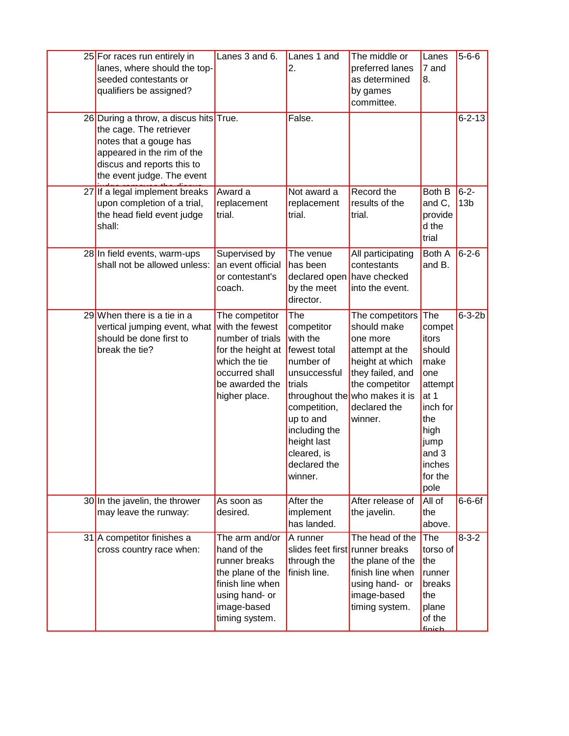| 25 For races run entirely in<br>lanes, where should the top-<br>seeded contestants or<br>qualifiers be assigned?                                                                      | Lanes 3 and 6.                                                                                                                                   | Lanes 1 and<br>2.                                                                                                                                                                           | The middle or<br>preferred lanes<br>as determined<br>by games<br>committee.                                                                                                        | Lanes<br>7 and<br>8.                                                                                                                        | $5 - 6 - 6$                  |
|---------------------------------------------------------------------------------------------------------------------------------------------------------------------------------------|--------------------------------------------------------------------------------------------------------------------------------------------------|---------------------------------------------------------------------------------------------------------------------------------------------------------------------------------------------|------------------------------------------------------------------------------------------------------------------------------------------------------------------------------------|---------------------------------------------------------------------------------------------------------------------------------------------|------------------------------|
| 26 During a throw, a discus hits True.<br>the cage. The retriever<br>notes that a gouge has<br>appeared in the rim of the<br>discus and reports this to<br>the event judge. The event |                                                                                                                                                  | False.                                                                                                                                                                                      |                                                                                                                                                                                    |                                                                                                                                             | $6 - 2 - 13$                 |
| 27 If a legal implement breaks<br>upon completion of a trial,<br>the head field event judge<br>shall:                                                                                 | Award a<br>replacement<br>trial.                                                                                                                 | Not award a<br>replacement<br>trial.                                                                                                                                                        | Record the<br>results of the<br>trial.                                                                                                                                             | Both B<br>and C,<br>provide<br>d the<br>trial                                                                                               | $6 - 2 -$<br>13 <sub>b</sub> |
| 28 In field events, warm-ups<br>shall not be allowed unless:                                                                                                                          | Supervised by<br>an event official<br>or contestant's<br>coach.                                                                                  | The venue<br>has been<br>declared open have checked<br>by the meet<br>director.                                                                                                             | All participating<br>contestants<br>into the event.                                                                                                                                | Both A<br>and B.                                                                                                                            | $6 - 2 - 6$                  |
| 29 When there is a tie in a<br>vertical jumping event, what<br>should be done first to<br>break the tie?                                                                              | The competitor<br>with the fewest<br>number of trials<br>for the height at<br>which the tie<br>occurred shall<br>be awarded the<br>higher place. | The<br>competitor<br>with the<br>fewest total<br>number of<br>unsuccessful<br>trials<br>competition,<br>up to and<br>including the<br>height last<br>cleared, is<br>declared the<br>winner. | The competitors<br>should make<br>one more<br>attempt at the<br>height at which<br>they failed, and<br>the competitor<br>throughout the who makes it is<br>declared the<br>winner. | The<br>compet<br>itors<br>should<br>make<br>one<br>attempt<br>at 1<br>inch for<br>the<br>high<br>jump<br>and 3<br>inches<br>for the<br>pole | $6 - 3 - 2b$                 |
| 30 In the javelin, the thrower<br>may leave the runway:                                                                                                                               | As soon as<br>desired.                                                                                                                           | After the<br>implement<br>has landed.                                                                                                                                                       | After release of<br>the javelin.                                                                                                                                                   | All of<br>the<br>above.                                                                                                                     | $6 - 6 - 6f$                 |
| 31 A competitor finishes a<br>cross country race when:                                                                                                                                | The arm and/or<br>hand of the<br>runner breaks<br>the plane of the<br>finish line when<br>using hand- or<br>image-based<br>timing system.        | A runner<br>slides feet first runner breaks<br>through the<br>finish line.                                                                                                                  | The head of the<br>the plane of the<br>finish line when<br>using hand- or<br>image-based<br>timing system.                                                                         | The<br>torso of<br>the<br>runner<br>breaks<br>the<br>plane<br>of the<br>finich                                                              | $8 - 3 - 2$                  |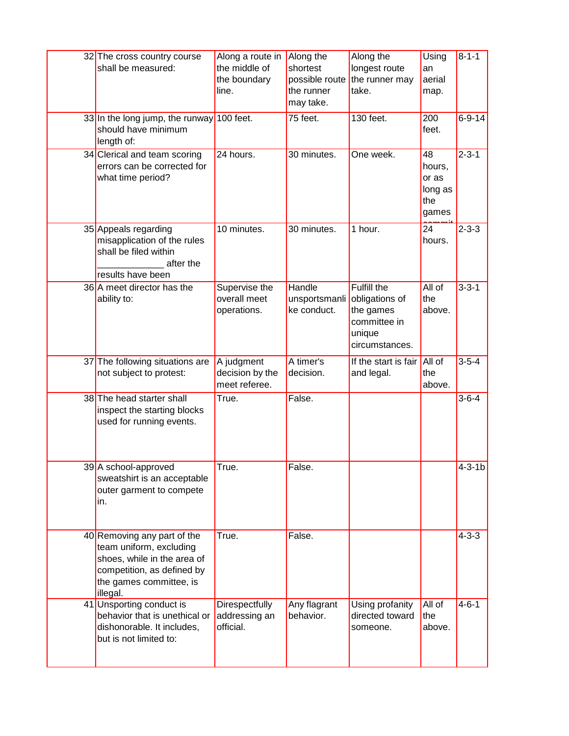| 32 The cross country course<br>shall be measured:                                                                                                          | Along a route in<br>the middle of<br>the boundary<br>line. | Along the<br>shortest<br>possible route<br>the runner<br>may take. | Along the<br>longest route<br>the runner may<br>take.                                  | Using<br>an<br>aerial<br>map.                    | $8 - 1 - 1$  |
|------------------------------------------------------------------------------------------------------------------------------------------------------------|------------------------------------------------------------|--------------------------------------------------------------------|----------------------------------------------------------------------------------------|--------------------------------------------------|--------------|
| 33 In the long jump, the runway 100 feet.<br>should have minimum<br>length of:                                                                             |                                                            | 75 feet.                                                           | 130 feet.                                                                              | 200<br>feet.                                     | $6 - 9 - 14$ |
| 34 Clerical and team scoring<br>errors can be corrected for<br>what time period?                                                                           | 24 hours.                                                  | 30 minutes.                                                        | One week.                                                                              | 48<br>hours,<br>or as<br>long as<br>the<br>games | $2 - 3 - 1$  |
| 35 Appeals regarding<br>misapplication of the rules<br>shall be filed within<br>after the<br>results have been                                             | 10 minutes.                                                | 30 minutes.                                                        | 1 hour.                                                                                | 24<br>hours.                                     | $2 - 3 - 3$  |
| 36 A meet director has the<br>ability to:                                                                                                                  | Supervise the<br>overall meet<br>operations.               | Handle<br>unsportsmanli<br>ke conduct.                             | Fulfill the<br>obligations of<br>the games<br>committee in<br>unique<br>circumstances. | All of<br>the<br>above.                          | $3 - 3 - 1$  |
| 37 The following situations are<br>not subject to protest:                                                                                                 | A judgment<br>decision by the<br>meet referee.             | A timer's<br>decision.                                             | If the start is fair<br>and legal.                                                     | All of<br>the<br>above.                          | $3 - 5 - 4$  |
| 38 The head starter shall<br>inspect the starting blocks<br>used for running events.                                                                       | True.                                                      | False.                                                             |                                                                                        |                                                  | $3 - 6 - 4$  |
| 39 A school-approved<br>sweatshirt is an acceptable<br>outer garment to compete<br>in.                                                                     | True.                                                      | False.                                                             |                                                                                        |                                                  | $4 - 3 - 1b$ |
| 40 Removing any part of the<br>team uniform, excluding<br>shoes, while in the area of<br>competition, as defined by<br>the games committee, is<br>illegal. | True.                                                      | False.                                                             |                                                                                        |                                                  | $4 - 3 - 3$  |
| 41 Unsporting conduct is<br>behavior that is unethical or<br>dishonorable. It includes,<br>but is not limited to:                                          | Direspectfully<br>addressing an<br>official.               | Any flagrant<br>behavior.                                          | Using profanity<br>directed toward<br>someone.                                         | All of<br>the<br>above.                          | $4 - 6 - 1$  |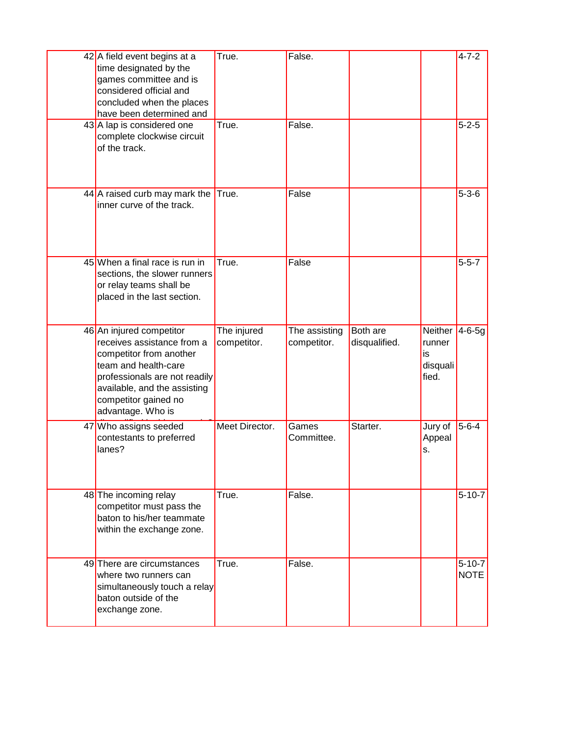| 42 A field event begins at a             | True.          | False.        |                 |                  | $4 - 7 - 2$  |
|------------------------------------------|----------------|---------------|-----------------|------------------|--------------|
| time designated by the                   |                |               |                 |                  |              |
| games committee and is                   |                |               |                 |                  |              |
| considered official and                  |                |               |                 |                  |              |
| concluded when the places                |                |               |                 |                  |              |
| have been determined and                 |                |               |                 |                  |              |
| 43 A lap is considered one               | True.          | False.        |                 |                  | $5 - 2 - 5$  |
| complete clockwise circuit               |                |               |                 |                  |              |
| of the track.                            |                |               |                 |                  |              |
|                                          |                |               |                 |                  |              |
|                                          |                |               |                 |                  |              |
|                                          |                |               |                 |                  |              |
| 44 <sup>A</sup> raised curb may mark the | True.          | False         |                 |                  | $5 - 3 - 6$  |
| inner curve of the track.                |                |               |                 |                  |              |
|                                          |                |               |                 |                  |              |
|                                          |                |               |                 |                  |              |
|                                          |                |               |                 |                  |              |
| 45 When a final race is run in           | True.          | False         |                 |                  | $5 - 5 - 7$  |
| sections, the slower runners             |                |               |                 |                  |              |
| or relay teams shall be                  |                |               |                 |                  |              |
| placed in the last section.              |                |               |                 |                  |              |
|                                          |                |               |                 |                  |              |
| 46 An injured competitor                 | The injured    | The assisting | <b>Both</b> are | Neither $4-6-5g$ |              |
| receives assistance from a               | competitor.    | competitor.   | disqualified.   | runner           |              |
|                                          |                |               |                 |                  |              |
|                                          |                |               |                 |                  |              |
| competitor from another                  |                |               |                 | is               |              |
| team and health-care                     |                |               |                 | disquali         |              |
| professionals are not readily            |                |               |                 | fied.            |              |
| available, and the assisting             |                |               |                 |                  |              |
| competitor gained no                     |                |               |                 |                  |              |
| advantage. Who is                        |                |               |                 |                  |              |
| 47 Who assigns seeded                    | Meet Director. | Games         | Starter.        | Jury of          | $5 - 6 - 4$  |
| contestants to preferred<br>lanes?       |                | Committee.    |                 | Appeal<br>s.     |              |
|                                          |                |               |                 |                  |              |
|                                          |                |               |                 |                  |              |
|                                          |                |               |                 |                  |              |
| 48 The incoming relay                    | True.          | False.        |                 |                  | $5 - 10 - 7$ |
| competitor must pass the                 |                |               |                 |                  |              |
| baton to his/her teammate                |                |               |                 |                  |              |
| within the exchange zone.                |                |               |                 |                  |              |
|                                          |                |               |                 |                  |              |
| 49 There are circumstances               | True.          | False.        |                 |                  | $5 - 10 - 7$ |
| where two runners can                    |                |               |                 |                  | <b>NOTE</b>  |
| simultaneously touch a relay             |                |               |                 |                  |              |
| baton outside of the                     |                |               |                 |                  |              |
| exchange zone.                           |                |               |                 |                  |              |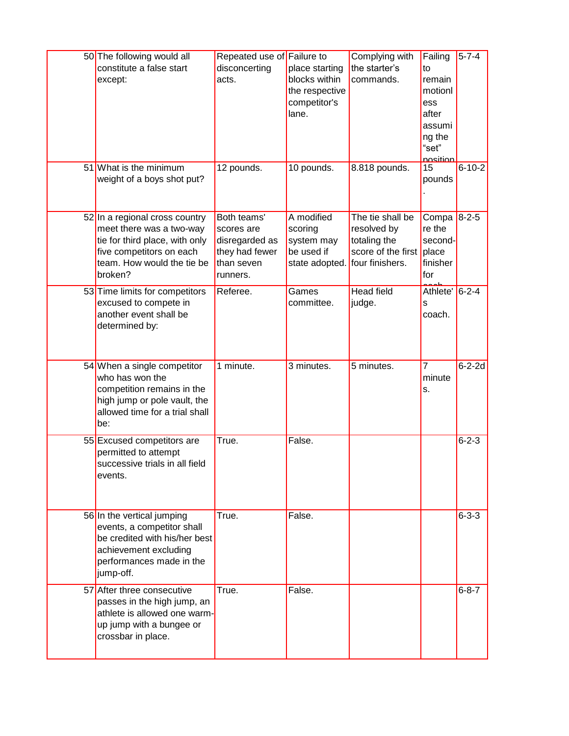| 50 The following would all<br>constitute a false start<br>except:                                                                                                 | Repeated use of Failure to<br>disconcerting<br>acts.                                    | place starting<br>blocks within<br>the respective<br>competitor's<br>lane.          | Complying with<br>the starter's<br>commands.                          | Failing<br>to<br>remain<br>motionl<br>ess<br>after<br>assumi<br>ng the<br>"set"<br>nosition | $5 - 7 - 4$  |
|-------------------------------------------------------------------------------------------------------------------------------------------------------------------|-----------------------------------------------------------------------------------------|-------------------------------------------------------------------------------------|-----------------------------------------------------------------------|---------------------------------------------------------------------------------------------|--------------|
| 51 What is the minimum<br>weight of a boys shot put?                                                                                                              | 12 pounds.                                                                              | 10 pounds.                                                                          | 8.818 pounds.                                                         | 15<br>pounds                                                                                | $6 - 10 - 2$ |
| 52 In a regional cross country<br>meet there was a two-way<br>tie for third place, with only<br>five competitors on each<br>team. How would the tie be<br>broken? | Both teams'<br>scores are<br>disregarded as<br>they had fewer<br>than seven<br>runners. | A modified<br>scoring<br>system may<br>be used if<br>state adopted. four finishers. | The tie shall be<br>resolved by<br>totaling the<br>score of the first | Compa<br>re the<br>second-<br>place<br>finisher<br>for                                      | $8 - 2 - 5$  |
| 53 Time limits for competitors<br>excused to compete in<br>another event shall be<br>determined by:                                                               | Referee.                                                                                | Games<br>committee.                                                                 | <b>Head field</b><br>judge.                                           | Athlete'<br>S<br>coach.                                                                     | $6 - 2 - 4$  |
| 54 When a single competitor<br>who has won the<br>competition remains in the<br>high jump or pole vault, the<br>allowed time for a trial shall<br>be:             | 1 minute.                                                                               | 3 minutes.                                                                          | 5 minutes.                                                            | $\overline{7}$<br>minute<br>s.                                                              | $6 - 2 - 2d$ |
| 55 Excused competitors are<br>permitted to attempt<br>successive trials in all field<br>events.                                                                   | True.                                                                                   | False.                                                                              |                                                                       |                                                                                             | $6 - 2 - 3$  |
| 56 In the vertical jumping<br>events, a competitor shall<br>be credited with his/her best<br>achievement excluding<br>performances made in the<br>jump-off.       | True.                                                                                   | False.                                                                              |                                                                       |                                                                                             | $6 - 3 - 3$  |
| 57 After three consecutive<br>passes in the high jump, an<br>athlete is allowed one warm-<br>up jump with a bungee or<br>crossbar in place.                       | True.                                                                                   | False.                                                                              |                                                                       |                                                                                             | $6 - 8 - 7$  |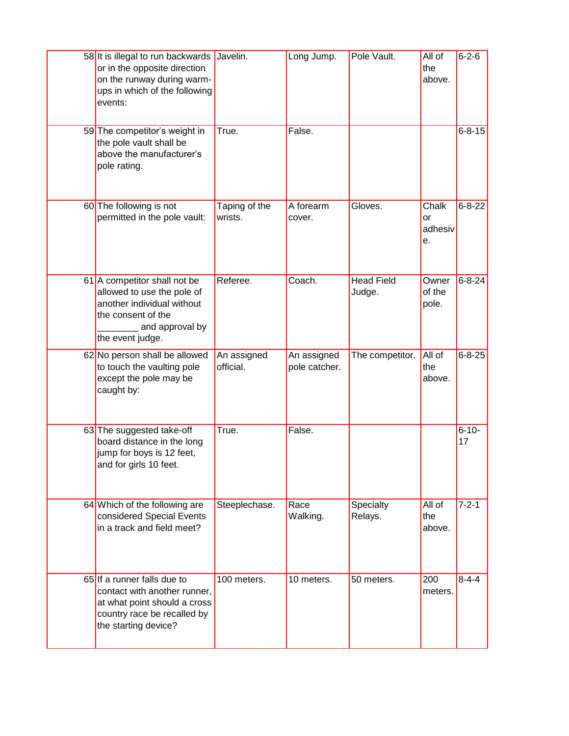| 58 It is illegal to run backwards Javelin.<br>or in the opposite direction<br>on the runway during warm-<br>ups in which of the following<br>events:  |                          | Long Jump.                   | Pole Vault.                 | All of<br>the<br>above.      | $6 - 2 - 6$      |
|-------------------------------------------------------------------------------------------------------------------------------------------------------|--------------------------|------------------------------|-----------------------------|------------------------------|------------------|
| 59 The competitor's weight in<br>the pole vault shall be<br>above the manufacturer's<br>pole rating.                                                  | True.                    | False.                       |                             |                              | $6 - 8 - 15$     |
| 60 The following is not<br>permitted in the pole vault:                                                                                               | Taping of the<br>wrists. | A forearm<br>cover.          | Gloves.                     | Chalk<br>or<br>adhesiv<br>е. | $6 - 8 - 22$     |
| 61 A competitor shall not be<br>allowed to use the pole of<br>another individual without<br>the consent of the<br>and approval by<br>the event judge. | Referee.                 | Coach.                       | <b>Head Field</b><br>Judge. | Owner<br>of the<br>pole.     | $6 - 8 - 24$     |
| 62 No person shall be allowed<br>to touch the vaulting pole<br>except the pole may be<br>caught by:                                                   | An assigned<br>official. | An assigned<br>pole catcher. | The competitor.             | All of<br>the<br>above.      | $6 - 8 - 25$     |
| 63 The suggested take-off<br>board distance in the long<br>jump for boys is 12 feet,<br>and for girls 10 feet.                                        | True.                    | False.                       |                             |                              | $6 - 10 -$<br>17 |
| 64 Which of the following are<br>considered Special Events<br>in a track and field meet?                                                              | Steeplechase.            | Race<br>Walking.             | Specialty<br>Relays.        | All of<br>the<br>above.      | $7 - 2 - 1$      |
| 65 If a runner falls due to<br>contact with another runner,<br>at what point should a cross<br>country race be recalled by<br>the starting device?    | 100 meters.              | 10 meters.                   | 50 meters.                  | 200<br>meters.               | $8 - 4 - 4$      |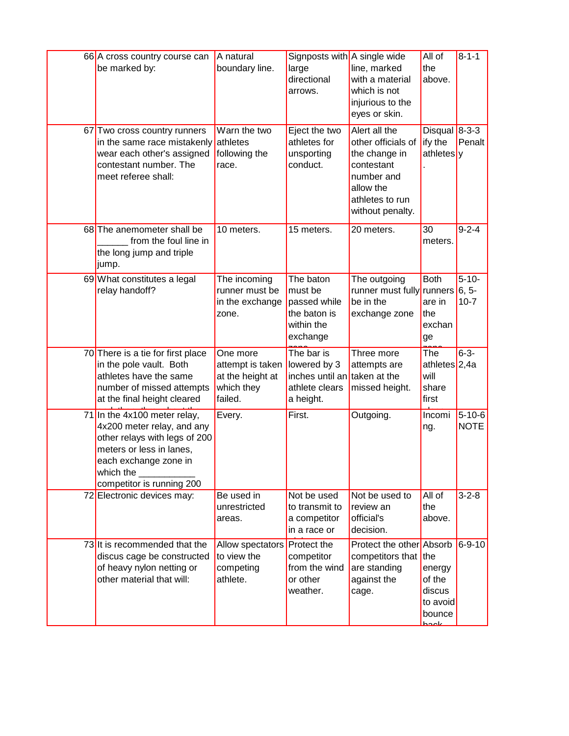| 66 A cross country course can<br>be marked by:<br>67 Two cross country runners<br>in the same race mistakenly<br>wear each other's assigned<br>contestant number. The<br>meet referee shall: | A natural<br>boundary line.<br>Warn the two<br>athletes<br>following the<br>race. | Signposts with A single wide<br>large<br>directional<br>arrows.<br>Eject the two<br>athletes for<br>unsporting<br>conduct. | line, marked<br>with a material<br>which is not<br>injurious to the<br>eyes or skin.<br>Alert all the<br>other officials of<br>the change in<br>contestant<br>number and<br>allow the<br>athletes to run<br>without penalty. | All of<br>the<br>above.<br>Disqual $8-3-3$<br>ify the<br>athletes | $8 - 1 - 1$<br>Penalt             |
|----------------------------------------------------------------------------------------------------------------------------------------------------------------------------------------------|-----------------------------------------------------------------------------------|----------------------------------------------------------------------------------------------------------------------------|------------------------------------------------------------------------------------------------------------------------------------------------------------------------------------------------------------------------------|-------------------------------------------------------------------|-----------------------------------|
| 68 The anemometer shall be<br>from the foul line in<br>the long jump and triple<br>jump.                                                                                                     | 10 meters.                                                                        | 15 meters.                                                                                                                 | 20 meters.                                                                                                                                                                                                                   | 30<br>meters.                                                     | $9 - 2 - 4$                       |
| 69 What constitutes a legal<br>relay handoff?                                                                                                                                                | The incoming<br>runner must be<br>in the exchange<br>zone.                        | The baton<br>must be<br>passed while<br>the baton is<br>within the<br>exchange                                             | The outgoing<br>runner must fully<br>be in the<br>exchange zone                                                                                                                                                              | <b>Both</b><br>runners<br>are in<br>the<br>exchan<br>ge           | $5 - 10 -$<br>$6, 5-$<br>$10 - 7$ |
| 70 There is a tie for first place<br>in the pole vault. Both<br>athletes have the same<br>number of missed attempts<br>at the final height cleared                                           | One more<br>attempt is taken<br>at the height at<br>which they<br>failed.         | The bar is<br>lowered by 3<br>inches until an taken at the<br>athlete clears<br>a height.                                  | Three more<br>attempts are<br>missed height.                                                                                                                                                                                 | The<br>athletes <sup>2,4a</sup><br>will<br>share<br>first         | $6 - 3 -$                         |
| 71 In the $4x100$ meter relay,<br>4x200 meter relay, and any<br>other relays with legs of 200<br>meters or less in lanes,<br>each exchange zone in<br>which the<br>competitor is running 200 | Every.                                                                            | First.                                                                                                                     | Outgoing.                                                                                                                                                                                                                    | Incomi<br>ng.                                                     | $5 - 10 - 6$<br><b>NOTE</b>       |
| 72 Electronic devices may:                                                                                                                                                                   | Be used in<br>unrestricted<br>areas.                                              | Not be used<br>to transmit to<br>a competitor<br>in a race or                                                              | Not be used to<br>review an<br>official's<br>decision.                                                                                                                                                                       | All of<br>the<br>above.                                           | $3 - 2 - 8$                       |
| 73 It is recommended that the<br>discus cage be constructed<br>of heavy nylon netting or<br>other material that will:                                                                        | Allow spectators <b>Protect the</b><br>to view the<br>competing<br>athlete.       | competitor<br>from the wind<br>or other<br>weather.                                                                        | Protect the other Absorb<br>competitors that the<br>are standing<br>against the<br>cage.                                                                                                                                     | energy<br>of the<br>discus<br>to avoid<br>bounce<br>علممط         | $6 - 9 - 10$                      |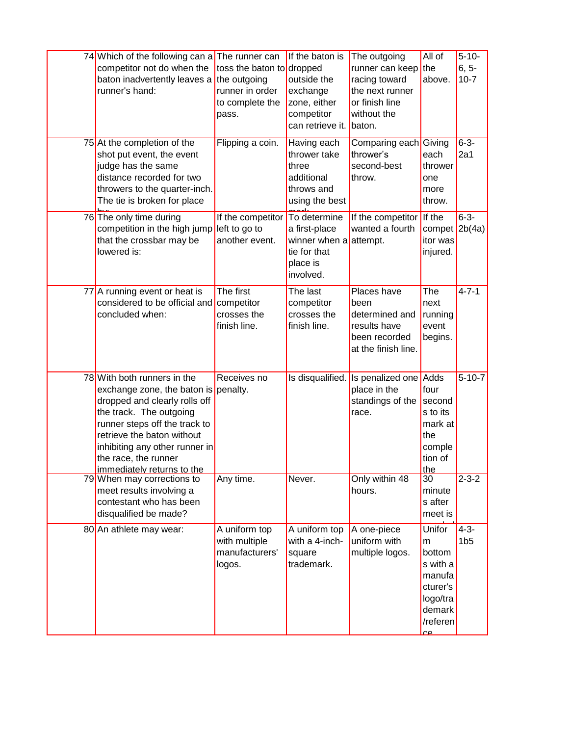| 74 Which of the following can a<br>competitor not do when the<br>baton inadvertently leaves a<br>runner's hand:                                                                                                                                                                        | The runner can<br>toss the baton to dropped<br>the outgoing<br>runner in order<br>to complete the<br>pass. | If the baton is<br>outside the<br>exchange<br>zone, either<br>competitor<br>can retrieve it.     | The outgoing<br>runner can keep<br>racing toward<br>the next runner<br>or finish line<br>without the<br>baton. | All of<br>the<br>above.                                                                         | $5 - 10 -$<br>$6, 5-$<br>$10 - 7$ |
|----------------------------------------------------------------------------------------------------------------------------------------------------------------------------------------------------------------------------------------------------------------------------------------|------------------------------------------------------------------------------------------------------------|--------------------------------------------------------------------------------------------------|----------------------------------------------------------------------------------------------------------------|-------------------------------------------------------------------------------------------------|-----------------------------------|
| 75 At the completion of the<br>shot put event, the event<br>judge has the same<br>distance recorded for two<br>throwers to the quarter-inch.<br>The tie is broken for place                                                                                                            | Flipping a coin.                                                                                           | Having each<br>thrower take<br>three<br>additional<br>throws and<br>using the best               | Comparing each Giving<br>thrower's<br>second-best<br>throw.                                                    | each<br>thrower<br>one<br>more<br>throw.                                                        | $6 - 3 -$<br>2a1                  |
| 76 The only time during<br>competition in the high jump<br>that the crossbar may be<br>lowered is:                                                                                                                                                                                     | If the competitor<br>left to go to<br>another event.                                                       | To determine<br>a first-place<br>winner when a attempt.<br>tie for that<br>place is<br>involved. | If the competitor<br>wanted a fourth                                                                           | If the<br>compet $2b(4a)$<br>itor was<br>injured.                                               | $6 - 3 -$                         |
| 77 A running event or heat is<br>considered to be official and<br>concluded when:                                                                                                                                                                                                      | The first<br>competitor<br>crosses the<br>finish line.                                                     | The last<br>competitor<br>crosses the<br>finish line.                                            | Places have<br>been<br>determined and<br>results have<br>been recorded<br>at the finish line.                  | The<br>next<br>running<br>event<br>begins.                                                      | $4 - 7 - 1$                       |
| 78 With both runners in the<br>exchange zone, the baton is penalty.<br>dropped and clearly rolls off<br>the track. The outgoing<br>runner steps off the track to<br>retrieve the baton without<br>inhibiting any other runner in<br>the race, the runner<br>immediately returns to the | Receives no                                                                                                |                                                                                                  | Is disqualified. Is penalized one Adds<br>place in the<br>standings of the<br>race.                            | four<br>second<br>s to its<br>mark at<br>the<br>comple<br>tion of<br>the                        | $5 - 10 - 7$                      |
| 79 When may corrections to<br>meet results involving a<br>contestant who has been<br>disqualified be made?                                                                                                                                                                             | Any time.                                                                                                  | Never.                                                                                           | Only within 48<br>hours.                                                                                       | 30<br>minute<br>s after<br>meet is                                                              | $2 - 3 - 2$                       |
| 80 An athlete may wear:                                                                                                                                                                                                                                                                | A uniform top<br>with multiple<br>manufacturers'<br>logos.                                                 | A uniform top<br>with a 4-inch-<br>square<br>trademark.                                          | A one-piece<br>uniform with<br>multiple logos.                                                                 | Unifor<br>m<br>bottom<br>s with a<br>manufa<br>cturer's<br>logo/tra<br>demark<br>/referen<br>۵۵ | $4 - 3 -$<br>1 <sub>b5</sub>      |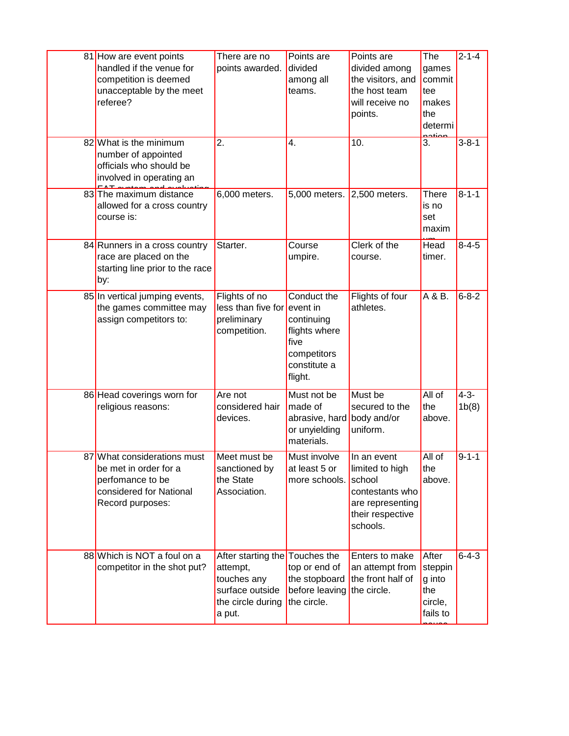| 81 How are event points<br>handled if the venue for<br>competition is deemed<br>unacceptable by the meet<br>referee?    | There are no<br>points awarded.                                                                             | Points are<br>divided<br>among all<br>teams.                                                 | Points are<br>divided among<br>the visitors, and<br>the host team<br>will receive no<br>points.                 | The<br>games<br>commit<br>tee<br>makes<br>the<br>determi | $2 - 1 - 4$        |
|-------------------------------------------------------------------------------------------------------------------------|-------------------------------------------------------------------------------------------------------------|----------------------------------------------------------------------------------------------|-----------------------------------------------------------------------------------------------------------------|----------------------------------------------------------|--------------------|
| 82 What is the minimum<br>number of appointed<br>officials who should be<br>involved in operating an                    | 2.                                                                                                          | 4.                                                                                           | 10.                                                                                                             | 3.                                                       | $3 - 8 - 1$        |
| 83 The maximum distance<br>allowed for a cross country<br>course is:                                                    | 6,000 meters.                                                                                               | 5,000 meters.                                                                                | $2,500$ meters.                                                                                                 | <b>There</b><br>is no<br>set<br>maxim                    | $8 - 1 - 1$        |
| 84 Runners in a cross country<br>race are placed on the<br>starting line prior to the race<br>by:                       | Starter.                                                                                                    | Course<br>umpire.                                                                            | Clerk of the<br>course.                                                                                         | Head<br>timer.                                           | $8 - 4 - 5$        |
| 85 In vertical jumping events,<br>the games committee may<br>assign competitors to:                                     | Flights of no<br>less than five for event in<br>preliminary<br>competition.                                 | Conduct the<br>continuing<br>flights where<br>five<br>competitors<br>constitute a<br>flight. | Flights of four<br>athletes.                                                                                    | A & B.                                                   | $6 - 8 - 2$        |
| 86 Head coverings worn for<br>religious reasons:                                                                        | Are not<br>considered hair<br>devices.                                                                      | Must not be<br>made of<br>abrasive, hard<br>or unyielding<br>materials.                      | Must be<br>secured to the<br>body and/or<br>uniform.                                                            | All of<br>the<br>above.                                  | $4 - 3 -$<br>1b(8) |
| 87 What considerations must<br>be met in order for a<br>perfomance to be<br>considered for National<br>Record purposes: | Meet must be<br>sanctioned by<br>the State<br>Association.                                                  | Must involve<br>at least 5 or<br>more schools.                                               | In an event<br>limited to high<br>school<br>contestants who<br>are representing<br>their respective<br>schools. | All of<br>the<br>above.                                  | $9 - 1 - 1$        |
| 88 Which is NOT a foul on a<br>competitor in the shot put?                                                              | After starting the Touches the<br>attempt,<br>touches any<br>surface outside<br>the circle during<br>a put. | top or end of<br>the stopboard<br>before leaving<br>the circle.                              | Enters to make<br>an attempt from<br>the front half of<br>the circle.                                           | After<br>steppin<br>g into<br>the<br>circle,<br>fails to | $6 - 4 - 3$        |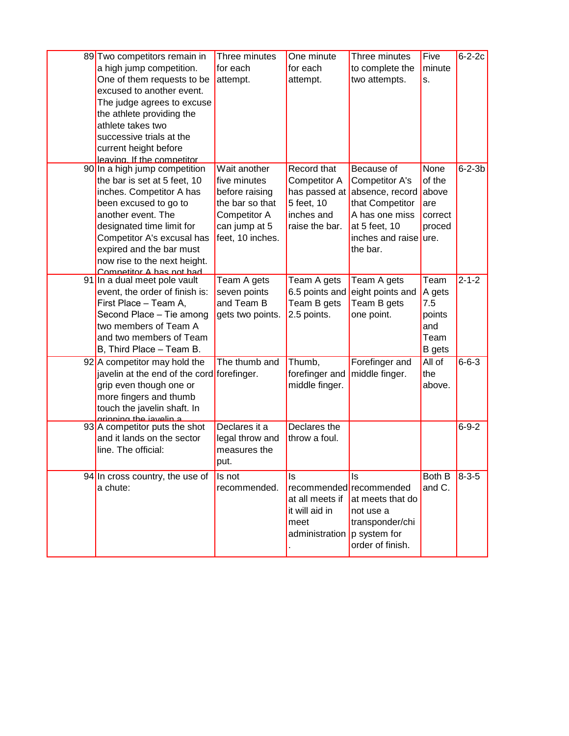| 89 Two competitors remain in<br>a high jump competition.<br>One of them requests to be<br>excused to another event.<br>The judge agrees to excuse<br>the athlete providing the<br>athlete takes two<br>successive trials at the<br>current height before<br>leaving. If the competitor      | Three minutes<br>for each<br>attempt.                                                                                  | One minute<br>for each<br>attempt.                                                         | Three minutes<br>to complete the<br>two attempts.                                                                                          | Five<br>minute<br>s.                                            | $6 - 2 - 2c$ |
|---------------------------------------------------------------------------------------------------------------------------------------------------------------------------------------------------------------------------------------------------------------------------------------------|------------------------------------------------------------------------------------------------------------------------|--------------------------------------------------------------------------------------------|--------------------------------------------------------------------------------------------------------------------------------------------|-----------------------------------------------------------------|--------------|
| 90 In a high jump competition<br>the bar is set at 5 feet, 10<br>inches. Competitor A has<br>been excused to go to<br>another event. The<br>designated time limit for<br>Competitor A's excusal has<br>expired and the bar must<br>now rise to the next height.<br>Competitor A has not had | Wait another<br>five minutes<br>before raising<br>the bar so that<br>Competitor A<br>can jump at 5<br>feet, 10 inches. | Record that<br>Competitor A<br>has passed at<br>5 feet, 10<br>inches and<br>raise the bar. | Because of<br>Competitor A's<br>absence, record<br>that Competitor<br>A has one miss<br>at 5 feet, 10<br>inches and raise ure.<br>the bar. | None<br>of the<br>above<br>are<br>correct<br>proced             | $6 - 2 - 3b$ |
| 91 In a dual meet pole vault<br>event, the order of finish is:<br>First Place - Team A,<br>Second Place - Tie among<br>two members of Team A<br>and two members of Team<br>B, Third Place - Team B.                                                                                         | Team A gets<br>seven points<br>and Team B<br>gets two points.                                                          | Team A gets<br>6.5 points and<br>Team B gets<br>2.5 points.                                | Team A gets<br>eight points and<br>Team B gets<br>one point.                                                                               | Team<br>A gets<br>7.5<br>points<br>and<br>Team<br><b>B</b> gets | $2 - 1 - 2$  |
| 92 A competitor may hold the<br>javelin at the end of the cord forefinger.<br>grip even though one or<br>more fingers and thumb<br>touch the javelin shaft. In<br>arinning the isvelin s                                                                                                    | The thumb and                                                                                                          | Thumb,<br>forefinger and<br>middle finger.                                                 | Forefinger and<br>middle finger.                                                                                                           | All of<br>the<br>above.                                         | $6 - 6 - 3$  |
| 93 <sup>A</sup> competitor puts the shot<br>and it lands on the sector<br>line. The official:                                                                                                                                                                                               | Declares it a<br>legal throw and<br>measures the<br>put.                                                               | Declares the<br>throw a foul.                                                              |                                                                                                                                            |                                                                 | $6 - 9 - 2$  |
| 94 In cross country, the use of<br>a chute:                                                                                                                                                                                                                                                 | Is not<br>recommended.                                                                                                 | Is<br>at all meets if<br>it will aid in<br>meet<br>administration $ p $ system for         | Is<br>recommended recommended<br>at meets that do<br>not use a<br>transponder/chi<br>order of finish.                                      | Both B<br>and C.                                                | $8 - 3 - 5$  |